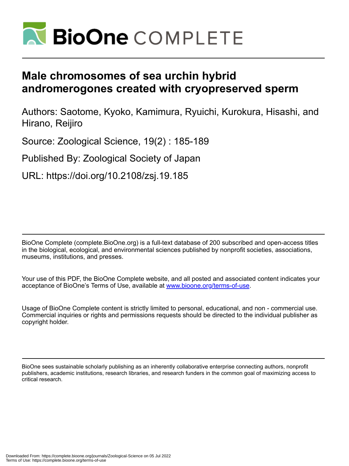

# **Male chromosomes of sea urchin hybrid andromerogones created with cryopreserved sperm**

Authors: Saotome, Kyoko, Kamimura, Ryuichi, Kurokura, Hisashi, and Hirano, Reijiro

Source: Zoological Science, 19(2) : 185-189

Published By: Zoological Society of Japan

URL: https://doi.org/10.2108/zsj.19.185

BioOne Complete (complete.BioOne.org) is a full-text database of 200 subscribed and open-access titles in the biological, ecological, and environmental sciences published by nonprofit societies, associations, museums, institutions, and presses.

Your use of this PDF, the BioOne Complete website, and all posted and associated content indicates your acceptance of BioOne's Terms of Use, available at www.bioone.org/terms-of-use.

Usage of BioOne Complete content is strictly limited to personal, educational, and non - commercial use. Commercial inquiries or rights and permissions requests should be directed to the individual publisher as copyright holder.

BioOne sees sustainable scholarly publishing as an inherently collaborative enterprise connecting authors, nonprofit publishers, academic institutions, research libraries, and research funders in the common goal of maximizing access to critical research.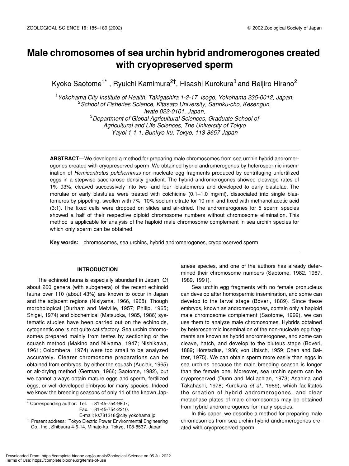## **Male chromosomes of sea urchin hybrid andromerogones created with cryopreserved sperm**

Kyoko Saotome<sup>1\*</sup>, Ryuichi Kamimura<sup>2†</sup>, Hisashi Kurokura<sup>3</sup> and Reijiro Hirano<sup>2</sup>

1 *Yokohama City Institute of Health, Takigashira 1-2-17, Isogo, Yokohama 235-0012, Japan,* 2 *School of Fisheries Science, Kitasato University, Sanriku-cho, Kesengun, Iwate 022-0101, Japan,* 3 *Department of Global Agricultural Sciences, Graduate School of Agricultural and Life Sciences, The University of Tokyo Yayoi 1-1-1, Bunkyo-ku, Tokyo, 113-8657 Japan*

**ABSTRACT**—We developed a method for preparing male chromosomes from sea urchin hybrid andromerogones created with cryopreserved sperm. We obtained hybrid andromerogones by heterospermic insemination of *Hemicentrotus pulcherrimus* non-nucleate egg fragments produced by centrifuging unfertilized eggs in a stepwise saccharose density gradient. The hybrid andromerogones showed cleavage rates of 1%–93%, cleaved successively into two- and four- blastomeres and developed to early blastulae. The morulae or early blastulae were treated with colchicine (0.1–1.0 mg/ml), dissociated into single blastomeres by pippeting, swollen with 7%–10% sodium citrate for 10 min and fixed with methanol:acetic acid (3:1). The fixed cells were dropped on slides and air-dried. The andromerogones for 5 sperm species showed a half of their respective diploid chromosome numbers without chromosome elimination. This method is applicable for analysis of the haploid male chromosome complement in sea urchin species for which only sperm can be obtained.

**Key words:** chromosomes, sea urchins, hybrid andromerogones, cryopreserved sperm

## **INTRODUCTION**

The echinoid fauna is especially abundant in Japan. Of about 260 genera (with subgenera) of the recent echinoid fauna over 110 (about 43%) are known to occur in Japan and the adjacent regions (Nisiyama, 1966, 1968). Though morphological (Durham and Melville, 1957; Philip, 1965; Shigei, 1974) and biochemical (Matsuoka, 1985, 1986) systematic studies have been carried out on the echinoids, cytogenetic one is not quite satisfactory. Sea urchin chromosomes prepared mainly from testes by sectioning or the squash method (Makino and Niiyama, 1947; Nishikawa, 1961; Colombera, 1974) were too small to be analyzed accurately. Clearer chromosome preparations can be obtained from embryos, by either the squash (Auclair, 1965) or air-drying method (German, 1966; Saotome, 1982), but we cannot always obtain mature eggs and sperm, fertilized eggs, or well-developed embryos for many species. Indeed we know the breeding seasons of only 11 of the known Jap-

\* Corresponding author: Tel. +81-45-754-9807; Fax. +81-45-754-2210.

E-mail; ks781218@city.yokohama.jp <sup>†</sup> Present address: Tokyo Electric Power Environmental Engineering Co., Inc., Shibaura 4-6-14, Minato-ku, Tokyo, 108-8537, Japan

anese species, and one of the authors has already determined their chromosome numbers (Saotome, 1982, 1987, 1989, 1991).

Sea urchin egg fragments with no female pronucleus can develop after homospermic insemination, and some can develop to the larval stage (Boveri, 1889). Since these embryos, known as andromerogones, contain only a haploid male chromosome complement (Saotome, 1999), we can use them to analyze male chromosomes. Hybrids obtained by heterospermic insemination of the non-nucleate egg fragments are known as hybrid andromerogones, and some can cleave, hatch, and develop to the pluteus stage (Boveri, 1889; Hörstadius, 1936; von Ubisch, 1959; Chen and Baltzer, 1975). We can obtain sperm more easily than eggs in sea urchins because the male breeding season is longer than the female one. Moreover, sea urchin sperm can be cryopreserved (Dunn and McLachlan*,* 1973; Asahina and Takahashi, 1978; Kurokura *et al*., 1989), which facilitates the creation of hybrid andromerogones, and clear metaphase plates of male chromosomes may be obtained from hybrid andromerogones for many species.

In this paper, we describe a method for preparing male chromosomes from sea urchin hybrid andromerogones created with cryopreserved sperm.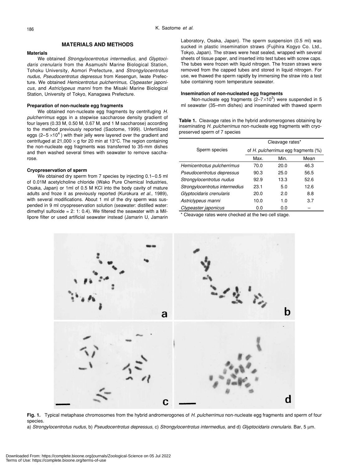#### **MATERIALS AND METHODS**

#### **Materials**

We obtained *Strongylocentrotus intermedius,* and *Glyptocidaris crenularis* from the Asamushi Marine Biological Station, Tohoku University, Aomori Prefecture, and *Strongylocentrotus nudus, Pseudocentrotus depressus* from Kesengun, Iwate Prefecture. We obtained *Hemicentrotus pulcherrimus, Clypeaster japonicus,* and *Astriclypeus manni* from the Misaki Marine Biological Station, University of Tokyo, Kanagawa Prefecture.

#### **Preparation of non-nucleate egg fragments**

We obtained non-nucleate egg fragments by centrifuging *H. pulcherrimus* eggs in a stepwise saccharose density gradient of four layers (0.33 M, 0.50 M, 0.67 M, and 1 M saccharose) according to the method previously reported (Saotome, 1999). Unfertilized eggs (2–5 $\times$ 10<sup>4</sup>) with their jelly were layered over the gradient and centrifuged at 21,000  $\times$  g for 20 min at 13°C. The region containing the non-nucleate egg fragments was transferred to 35-mm dishes and then washed several times with seawater to remove saccharose.

#### **Cryopreservation of sperm**

We obtained dry sperm from 7 species by injecting 0.1-0.5 ml of 0.01M acetylcholine chloride (Wako Pure Chemical Industries, Osaka, Japan) or 1ml of 0.5 M KCl into the body cavity of mature adults and froze it as previously reported (Kurokura *et al*., 1989), with several modifications. About 1 ml of the dry sperm was suspended in 9 ml cryopreservation solution (seawater: distilled water: dimethyl sulfoxide =  $2: 1: 0.4$ ). We filtered the seawater with a Millipore filter or used artificial seawater instead (Jamarin U, Jamarin

Laboratory, Osaka, Japan). The sperm suspension (0.5 ml) was sucked in plastic insemination straws (Fujihira Kogyo Co. Ltd., Tokyo, Japan). The straws were heat sealed, wrapped with several sheets of tissue paper, and inserted into test tubes with screw caps. The tubes were frozen with liquid nitrogen. The frozen straws were removed from the capped tubes and stored in liquid nitrogen. For use, we thawed the sperm rapidly by immersing the straw into a test tube containing room temperature seawater.

#### **Insemination of non-nucleated egg fragments**

Non-nucleate egg fragments  $(2-7\times10^3)$  were suspended in 5 ml seawater (35–mm dishes) and inseminated with thawed sperm

**Table 1.** Cleavage rates in the hybrid andromerogones obtaining by inseminating *H. pulcherrimus* non-nucleate egg fragments with cryopreserved sperm of 7 species

|                                | Cleavage rates*                      |      |      |
|--------------------------------|--------------------------------------|------|------|
| Sperm species                  | of H. pulcherrimus egg fragments (%) |      |      |
|                                | Max.                                 | Min. | Mean |
| Hemicentrotus pulcherrimus     | 70.0                                 | 20.0 | 46.3 |
| Pseudocentrotus depressus      | 90.3                                 | 25.0 | 56.5 |
| Strongylocentrotus nudus       | 92.9                                 | 13.3 | 52.6 |
| Strongylocentrotus intermedius | 23.1                                 | 5.0  | 12.6 |
| Glyptocidaris crenularis       | 20.0                                 | 2.0  | 8.8  |
| Astriclypeus manni             | 10.0                                 | 1.0  | 3.7  |
| Clypeaster japonicus           | 0.0                                  | 0.0  |      |

\* Cleavage rates were checked at the two cell stage.



**Fig. 1.** Typical metaphase chromosomes from the hybrid andromerogones of *H. pulcherrimus* non-nucleate egg fragments and sperm of four species.

a) *Strongylocentrotus nudus,* b) *Pseudocentrotus depressus,* c) *Strongylocentrotus intermedius,* and d) *Glyptocidaris crenularis.* Bar, 5 µm.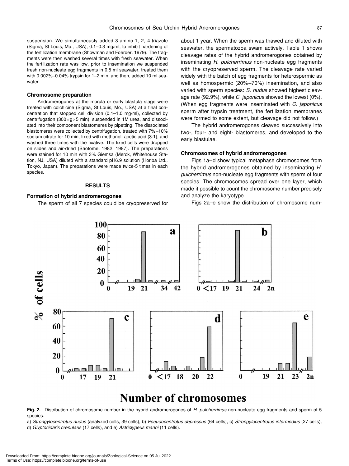suspension. We simultaneously added 3-amino-1, 2, 4-triazole (Sigma, St Louis, Mo., USA), 0.1–0.3 mg/ml, to inhibit hardening of the fertilization membrane (Showman and Foerder, 1979). The fragments were then washed several times with fresh seawater. When the fertilization rate was low, prior to insemination we suspended fresh non-nucleate egg fragments in 0.5 ml seawater, treated them with 0.002%–0.04% trypsin for 1–2 min, and then, added 10 ml seawater.

#### **Chromosome preparation**

Andromerogones at the morula or early blastula stage were treated with colchicine (Sigma, St Louis, Mo., USA) at a final concentration that stopped cell division (0.1–1.0 mg/ml), collected by centrifugation (300×g×5 min), suspended in 1M urea, and dissociated into their component blastomeres by pipetting. The dissociated blastomeres were collected by centrifugation, treated with 7%–10% sodium citrate for 10 min, fixed with methanol: acetic acid (3:1), and washed three times with the fixative. The fixed cells were dropped on slides and air-dried (Saotome, 1982, 1987). The preparations were stained for 10 min with 3% Giemsa (Merck, Whitehouse Station, NJ, USA) diluted with a standard pH6.9 solution (Horiba Ltd., Tokyo, Japan). The preparations were made twice-5 times in each species.

#### **RESULTS**

### **Formation of hybrid andromerogones**

The sperm of all 7 species could be cryopreserved for

about 1 year. When the sperm was thawed and diluted with seawater, the spermatozoa swam actively. Table 1 shows cleavage rates of the hybrid andromerogones obtained by inseminating *H. pulcherrimus* non-nucleate egg fragments with the cryopreserved sperm*.* The cleavage rate varied widely with the batch of egg fragments for heterospermic as well as homospermic (20%–70%) insemination, and also varied with sperm species: *S. nudus* showed highest cleavage rate (92.9%), while *C. japonicus* showed the lowest (0%). (When egg fragments were inseminated with *C. japonicus* sperm after trypsin treatment, the fertilization membranes were formed to some extent, but cleavage did not follow.)

The hybrid andromerogones cleaved successively into two-, four- and eight- blastomeres, and developed to the early blastulae.

#### **Chromosomes of hybrid andromerogones**

Figs 1a–d show typical metaphase chromosomes from the hybrid andromerogones obtained by inseminating *H. pulcherrimus* non-nucleate egg fragments with sperm of four species. The chromosomes spread over one layer, which made it possible to count the chromosome number precisely and analyze the karyotype.

Figs 2a–e show the distribution of chromosome num-



## **Number of chromosomes**

**Fig. 2.** Distribution of chromosome number in the hybrid andromerogones of *H. pulcherrimus* non-nucleate egg fragments and sperm of 5 species.

a) *Strongylocentrotus nudus* (analyzed cells, 39 cells), b) *Pseudocentrotus depressus* (64 cells), c) *Strongylocentrotus intermedius* (27 cells), d) *Glyptocidaris crenularis* (17 cells), and e) *Astriclypeus manni* (11 cells).

Downloaded From: https://complete.bioone.org/journals/Zoological-Science on 05 Jul 2022 Terms of Use: https://complete.bioone.org/terms-of-use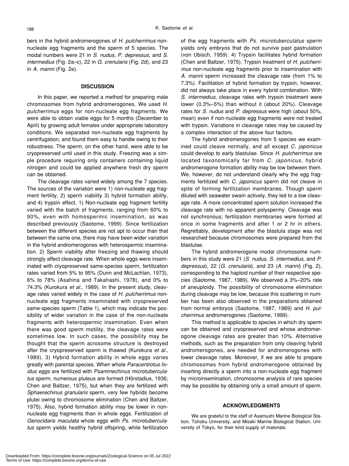bers in the hybrid andromerogones of *H. pulcherrimus* nonnucleate egg fragments and the sperm of 5 species. The modal numbers were 21 in *S. nudus*, *P. depressus,* and *S*. *intermedius* (Fig. 2a–c), 22 in *G. crenularis* (Fig. 2d), and 23 in *A. manni* (Fig. 2e).

#### **DISCUSSION**

In this paper, we reported a method for preparing male chromosomes from hybrid andromerogones. We used *H. pulcherrimus* eggs for non-nucleate egg fragments. We were able to obtain viable eggs for 5 months (December to April) by growing adult females under appropriate laboratory conditions. We separated non-nucleate egg fragments by centrifugation, and found them easy to handle owing to their robustness. The sperm, on the other hand, were able to be cryopreserved until used in this study. Freezing was a simple procedure requiring only containers containing liquid nitrogen and could be applied anywhere fresh dry sperm can be obtained.

The cleavage rates varied widely among the 7 species. The sources of the variation were 1) non-nucleate egg fragment fertility, 2) sperm viability 3) hybrid formation ability, and 4) trypsin effect. 1) Non-nucleate egg fragment fertility varied with the batch of fragments, ranging from 60% to 90%, even with homospermic insemination, as was described previously (Saotome, 1999). Since fertilization between the different species are not apt to occur than that between the same one, there may have been wider variation in the hybrid andromerogones with heterospermic insemination. 2) Sperm viability after freezing and thawing should strongly affect cleavage rate. When whole eggs were inseminated with cryopreserved same-species sperm, fertilization rates varied from 5% to 95% (Dunn and McLachlan*,* 1973), 6% to 78% (Asahina and Takahashi, 1978), and 0% to 74.3% (Kurokura *et al.,* 1989). In the present study, cleavage rates varied widely in the case of *H. pulcherrimus* nonnucleate egg fragments inseminated with cryopreserved same-species sperm (Table 1), which may indicate the possibility of wider variation in the case of the non-nucleate fragments with heterospermic insemination. Even when there was good sperm motility, the cleavage rates were sometimes low. In such cases, the possibility may be thought that the sperm acrosome structure is destroyed after the cryopreserved sperm is thawed (Kurokura *et al.,* 1989). 3) Hybrid formation ability in whole eggs varies greatly with parental species. When whole *Paracentrotus lividus eggs* are fertilized with *Psammechinus microtuberculatus* sperm, numerous pluteus are formed (Hörstadius, 1936; Chen and Baltzer, 1975), but when they are fertilized with *Sphaerechinus granularis* sperm, very few hybrids become plutei owing to chromosome elimination (Chen and Baltzer, 1975). Also, hybrid formation ability may be lower in nonnucleate egg fragments than in whole eggs. Fertilization of *Genocidaris maculata* whole eggs with *Ps. microtuberculatus* sperm yields healthy hybrid offspring, while fertilization of the egg fragments with *Ps. microtuberculatus* sperm yields only embryos that do not survive past gastrulation (von Ubisch, 1959). 4) Trypsin facilitates hybrid formation (Chen and Baltzer, 1975). Trypsin treatment of *H. pulcherrimus* non-nucleate egg fragments prior to insemination with *A. manni* sperm increased the cleavage rate (from 1% to 7.3%). Facilitation of hybrid formation by trypsin, however, did not always take place in every hybrid combination. With *S. intermedius*, cleavage rates with trypsin treatment were lower (0.3%–5%) than without it (about 20%). Cleavage rates for *S. nudus* and *P. depressus* were high (about 50%, mean) even if non-nucleate egg fragments were not treated with trypsin. Variations in cleavage rates may be caused by a complex interaction of the above four factors.

The hybrid andromerogones from 5 species we examined could cleave normally, and all except *C. japonicus* could develop to early blastulae. Since *H. pulcherrimus* are located taxonomically far from *C. japonicus*, hybrid andromerogone formation ability may be low between them. We, however, do not understand clearly why the egg fragments fertilized with *C. japonicus* sperm did not cleave in spite of forming fertilization membranes. Though sperm diluted with seawater swam actively, they led to a low cleavage rate. A more concentrated sperm solution increased the cleavage rate with no apparent polyspermy. Cleavage was not synchronous; fertilization membranes were formed at once in some fragments and after 1 or 2 hr in others. Regrettably, development after the blastula stage was not researched because chromosomes were prepared from the blastulae.

The hybrid andromerogone modal chromosome numbers in this study were 21 (*S. nudus, S*. *intermedius*, and *P. depressus*)*,* 22 (*G. crenularis*)*,* and 23 (*A. manni*) (Fig. 2), corresponding to the haploid number of their respective species (Saotome, 1987, 1989). We observed a 3%–20% rate of aneuploidy. The possibility of chromosome elimination during cleavage may be low, because this scattering in number has been also observed in the preparations obtained from normal embryos (Saotome, 1987, 1989) and *H. pulcherrimus* andromerogones (Saotome, 1999).

This method is applicable to species in which dry sperm can be obtained and cryopreserved and whose andromerogone cleavage rates are greater than 10%. Alternative methods, such as the preparation from only cleaving hybrid andromerogones, are needed for andromerogones with lower cleavage rates. Moreover, if we are able to prepare chromosomes from hybrid andromerogone obtained by inserting directly a sperm into a non-nucleate egg fragment by microinsemination, chromosome analysis of rare species may be possible by obtaining only a small amount of sperm.

### **ACKNOWLEDGMENTS**

We are grateful to the staff of Asamushi Marine Biological Station, Tohoku University, and Misaki Marine Biological Station, University of Tokyo, for their kind supply of materials.